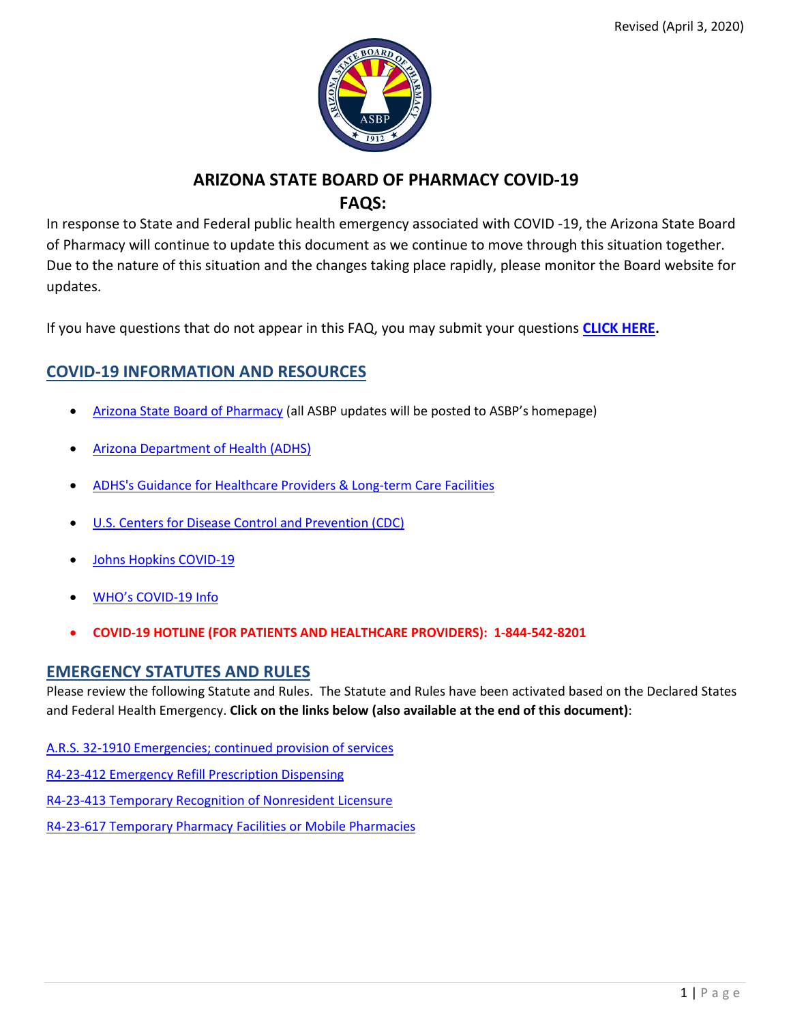

# **ARIZONA STATE BOARD OF PHARMACY COVID-19 FAQS:**

In response to State and Federal public health emergency associated with COVID -19, the Arizona State Board of Pharmacy will continue to update this document as we continue to move through this situation together. Due to the nature of this situation and the changes taking place rapidly, please monitor the Board website for updates.

If you have questions that do not appear in this FAQ, you may submit your questions **[CLICK HERE.](https://pharmacy.az.gov/covid-19-questions)**

# **COVID-19 INFORMATION AND RESOURCES**

- [Arizona State Board of Pharmacy](https://pharmacy.az.gov/) (all ASBP updates will be posted to ASBP's homepage)
- [Arizona Department of Health \(ADHS\)](https://www.azdhs.gov/preparedness/epidemiology-disease-control/infectious-disease-epidemiology/index.php#novel-coronavirus-home)
- [ADHS's Guidance for Healthcare Providers & Long-term Care Facilities](https://www.azdhs.gov/preparedness/epidemiology-disease-control/infectious-disease-epidemiology/index.php#novel-coronavirus-healthcare-providers)
- U.S. [Centers for Disease Control and Prevention \(CDC\)](https://www.cdc.gov/coronavirus/2019-ncov/index.html)
- [Johns Hopkins COVID-19](https://coronavirus.jhu.edu/)
- [WHO's COVID-19 Info](https://www.who.int/news-room/q-a-detail/q-a-coronaviruses)
- **COVID-19 HOTLINE (FOR PATIENTS AND HEALTHCARE PROVIDERS): 1-844-542-8201**

## **EMERGENCY STATUTES AND RULES**

Please review the following Statute and Rules. The Statute and Rules have been activated based on the Declared States and Federal Health Emergency. **Click on the links below (also available at the end of this document)**:

[A.R.S. 32-1910 Emergencies; continued provision of services](https://pharmacy.az.gov/node/5236#1)

[R4-23-412 Emergency Refill Prescription Dispensing](https://pharmacy.az.gov/node/5236#2)

[R4-23-413 Temporary Recognition of Nonresident Licensure](https://pharmacy.az.gov/node/5236#3)

[R4-23-617 Temporary Pharmacy Facilities or Mobile Pharmacies](https://pharmacy.az.gov/node/5236#4)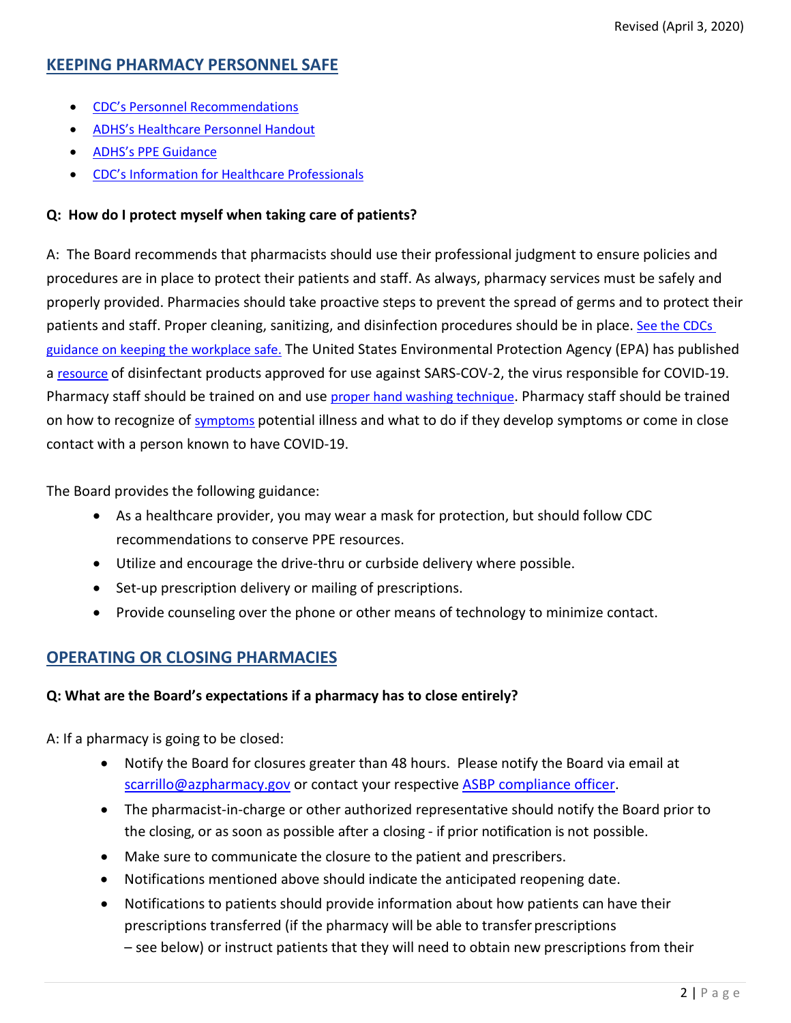# **KEEPING PHARMACY PERSONNEL SAFE**

- [CDC's Personnel Recommendations](https://www.cdc.gov/coronavirus/2019-ncov/infection-control/control-recommendations.html)
- [ADHS's Healthcare Personnel Handout](https://www.azdhs.gov/preparedness/epidemiology-disease-control/infectious-disease-epidemiology/index.php#novel-coronavirus-healthcare-providers)
- [ADHS's PPE Guidance](https://www.azdhs.gov/documents/preparedness/epidemiology-disease-control/infectious-diseases-services/coronavirus/covid-19-ppe-guidance.pdf)
- [CDC's Information for Healthcare Professionals](https://www.cdc.gov/coronavirus/2019-nCoV/hcp/index.html)

## **Q: How do I protect myself when taking care of patients?**

A: The Board recommends that pharmacists should use their professional judgment to ensure policies and procedures are in place to protect their patients and staff. As always, pharmacy services must be safely and properly provided. Pharmacies should take proactive steps to prevent the spread of germs and to protect their patients and staff. Proper cleaning, sanitizing, and disinfection procedures should be in place. [See the CDCs](https://www.cdc.gov/coronavirus/2019-ncov/downloads/workplace-school-and-home-guidance.pdf)  [guidance on keeping the workplace safe.](https://www.cdc.gov/coronavirus/2019-ncov/downloads/workplace-school-and-home-guidance.pdf) The United States Environmental Protection Agency (EPA) has published a [resource](https://www.epa.gov/pesticide-registration/list-n-disinfectants-use-against-sars-cov-2) of disinfectant products approved for use against SARS-COV-2, the virus responsible for COVID-19. Pharmacy staff should be trained on and use [proper hand washing technique.](https://www.youtube.com/watch?v=d914EnpU4Fo) Pharmacy staff should be trained on how to recognize of [symptoms](https://www.cdc.gov/coronavirus/2019-ncov/prevent-getting-sick/prevention.html?CDC_AA_refVal=https%3A%2F%2Fwww.cdc.gov%2Fcoronavirus%2F2019-ncov%2Fprepare%2Fprevention.html) potential illness and what to do if they develop symptoms or come in close contact with a person known to have COVID-19.

The Board provides the following guidance:

- As a healthcare provider, you may wear a mask for protection, but should follow CDC recommendations to conserve PPE resources.
- Utilize and encourage the drive-thru or curbside delivery where possible.
- Set-up prescription delivery or mailing of prescriptions.
- Provide counseling over the phone or other means of technology to minimize contact.

# **OPERATING OR CLOSING PHARMACIES**

## **Q: What are the Board's expectations if a pharmacy has to close entirely?**

A: If a pharmacy is going to be closed:

- Notify the Board for closures greater than 48 hours. Please notify the Board via email at [scarrillo@azpharmacy.gov](mailto:scarrillo@azpharmacy.gov) or contact your respective [ASBP compliance](https://pharmacy.az.gov/node/5226) officer.
- The pharmacist-in-charge or other authorized representative should notify the Board prior to the closing, or as soon as possible after a closing - if prior notification is not possible.
- Make sure to communicate the closure to the patient and prescribers.
- Notifications mentioned above should indicate the anticipated reopening date.
- Notifications to patients should provide information about how patients can have their prescriptions transferred (if the pharmacy will be able to transfer prescriptions
	- see below) or instruct patients that they will need to obtain new prescriptions from their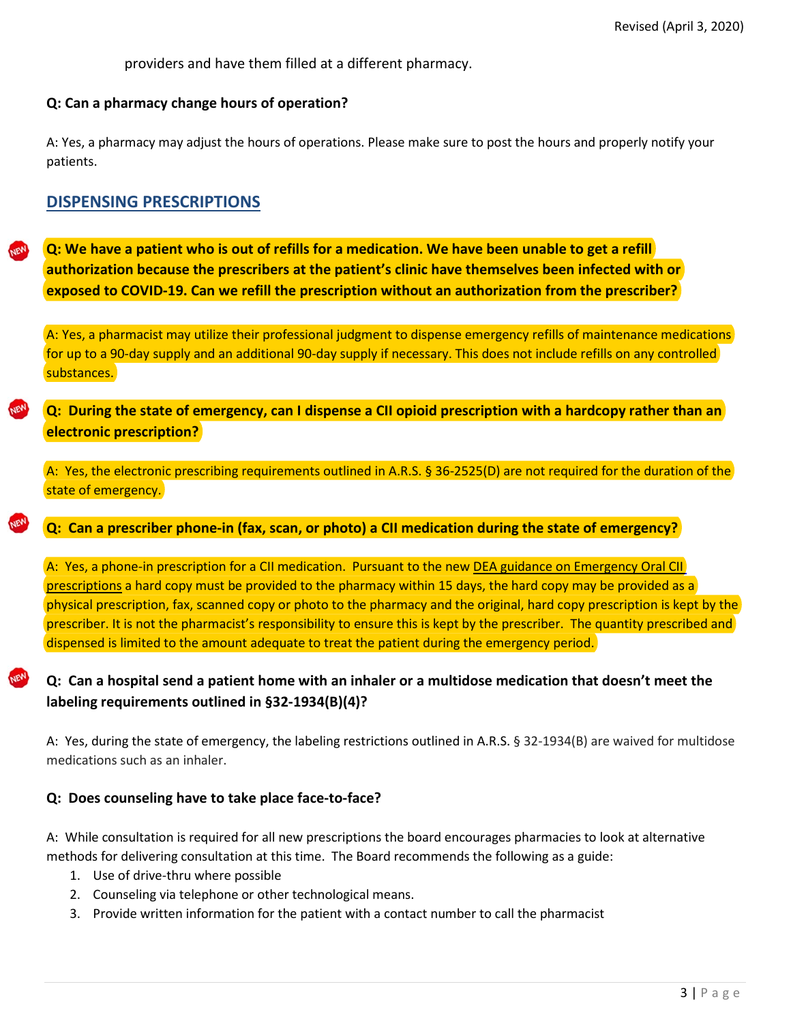providers and have them filled at a different pharmacy.

#### **Q: Can a pharmacy change hours of operation?**

A: Yes, a pharmacy may adjust the hours of operations. Please make sure to post the hours and properly notify your patients.

## **DISPENSING PRESCRIPTIONS**

**Q: We have a patient who is out of refills for a medication. We have been unable to get a refill authorization because the prescribers at the patient's clinic have themselves been infected with or exposed to COVID-19. Can we refill the prescription without an authorization from the prescriber?**

A: Yes, a pharmacist may utilize their professional judgment to dispense emergency refills of maintenance medications for up to a 90-day supply and an additional 90-day supply if necessary. This does not include refills on any controlled substances.

## **Q: During the state of emergency, can I dispense a CII opioid prescription with a hardcopy rather than an electronic prescription?**

A: Yes, the electronic prescribing requirements outlined in A.R.S. § 36-2525(D) are not required for the duration of the state of emergency.

#### **Q: Can a prescriber phone-in (fax, scan, or photo) a CII medication during the state of emergency?**

A: Yes, a phone-in prescription for a CII medication. Pursuant to the new DEA guidance on Emergency Oral CII [prescriptions](https://www.deadiversion.usdoj.gov/GDP/(DEA-DC-021)(DEA073)%20Oral%20CII%20for%20regular%20CII%20scirpt%20(Final)%20+Esign%20a.pdf) a hard copy must be provided to the pharmacy within 15 days, the hard copy may be provided as a physical prescription, fax, scanned copy or photo to the pharmacy and the original, hard copy prescription is kept by the prescriber. It is not the pharmacist's responsibility to ensure this is kept by the prescriber. The quantity prescribed and dispensed is limited to the amount adequate to treat the patient during the emergency period.

# **Q: Can a hospital send a patient home with an inhaler or a multidose medication that doesn't meet the labeling requirements outlined in §32-1934(B)(4)?**

A: Yes, during the state of emergency, the labeling restrictions outlined in A.R.S. § 32-1934(B) are waived for multidose medications such as an inhaler.

#### **Q: Does counseling have to take place face-to-face?**

A: While consultation is required for all new prescriptions the board encourages pharmacies to look at alternative methods for delivering consultation at this time. The Board recommends the following as a guide:

- 1. Use of drive-thru where possible
- 2. Counseling via telephone or other technological means.
- 3. Provide written information for the patient with a contact number to call the pharmacist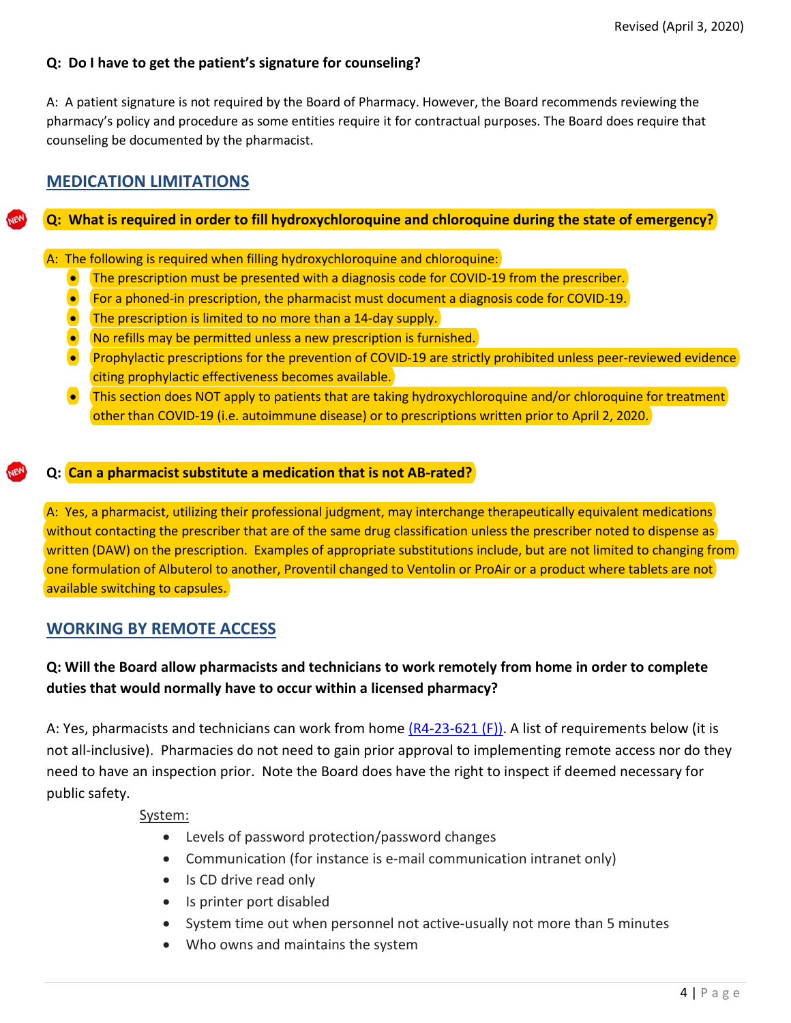## **Q: Do I have to get the patient's signature for counseling?**

A: A patient signature is not required by the Board of Pharmacy. However, the Board recommends reviewing the pharmacy's policy and procedure as some entities require it for contractual purposes. The Board does require that counseling be documented by the pharmacist.

# **MEDICATION LIMITATIONS**

## **Q: What is required in order to fill hydroxychloroquine and chloroquine during the state of emergency?**

A: The following is required when filling hydroxychloroquine and chloroquine:

- The prescription must be presented with a diagnosis code for COVID-19 from the prescriber.
- For a phoned-in prescription, the pharmacist must document a diagnosis code for COVID-19.
- The prescription is limited to no more than a 14-day supply.
- No refills may be permitted unless a new prescription is furnished.
- Prophylactic prescriptions for the prevention of COVID-19 are strictly prohibited unless peer-reviewed evidence citing prophylactic effectiveness becomes available.
- This section does NOT apply to patients that are taking hydroxychloroquine and/or chloroquine for treatment other than COVID-19 (i.e. autoimmune disease) or to prescriptions written prior to April 2, 2020.

## **Q: Can a pharmacist substitute a medication that is not AB-rated?**

A: Yes, a pharmacist, utilizing their professional judgment, may interchange therapeutically equivalent medications without contacting the prescriber that are of the same drug classification unless the prescriber noted to dispense as written (DAW) on the prescription. Examples of appropriate substitutions include, but are not limited to changing from one formulation of Albuterol to another, Proventil changed to Ventolin or ProAir or a product where tablets are not available switching to capsules.

## **WORKING BY REMOTE ACCESS**

# **Q: Will the Board allow pharmacists and technicians to work remotely from home in order to complete duties that would normally have to occur within a licensed pharmacy?**

A: Yes, pharmacists and technicians can work from home  $(R4-23-621 (F))$ . A list of requirements below (it is not all-inclusive). Pharmacies do not need to gain prior approval to implementing remote access nor do they need to have an inspection prior. Note the Board does have the right to inspect if deemed necessary for public safety.

System:

- Levels of password protection/password changes
- Communication (for instance is e-mail communication intranet only)
- Is CD drive read only
- Is printer port disabled
- System time out when personnel not active-usually not more than 5 minutes
- Who owns and maintains the system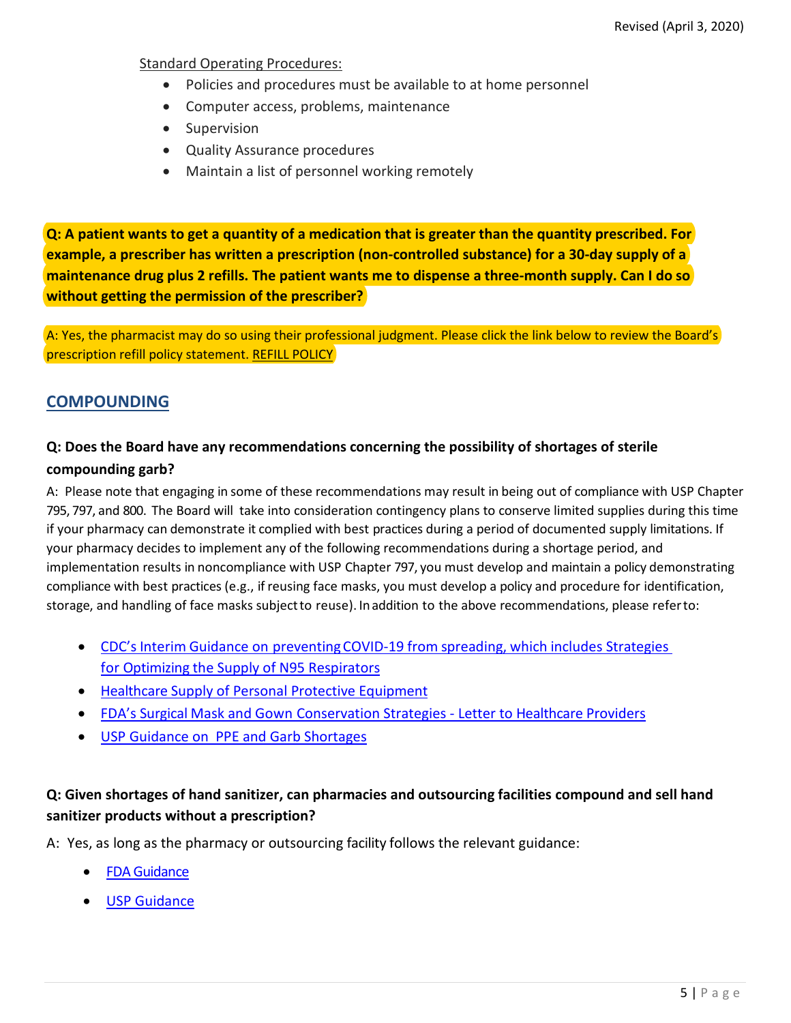#### Standard Operating Procedures:

- Policies and procedures must be available to at home personnel
- Computer access, problems, maintenance
- Supervision
- Quality Assurance procedures
- Maintain a list of personnel working remotely

**Q: A patient wants to get a quantity of a medication that is greater than the quantity prescribed. For example, a prescriber has written a prescription (non-controlled substance) for a 30-day supply of a maintenance drug plus 2 refills. The patient wants me to dispense a three-month supply. Can I do so without getting the permission of the prescriber?**

A: Yes, the pharmacist may do so using their professional judgment. Please click the link below to review the Board's prescription refill policy statement. [REFILL POLICY](https://pharmacy.az.gov/sites/default/files/documents/files/sps11.pdf)

# **COMPOUNDING**

# **Q: Does the Board have any recommendations concerning the possibility of shortages of sterile**

#### **compounding garb?**

A: Please note that engaging in some of these recommendations may result in being out of compliance with USP Chapter 795, 797, and 800. The Board will take into consideration contingency plans to conserve limited supplies during this time if your pharmacy can demonstrate it complied with best practices during a period of documented supply limitations. If your pharmacy decides to implement any of the following recommendations during a shortage period, and implementation results in noncompliance with USP Chapter 797, you must develop and maintain a policy demonstrating compliance with best practices (e.g., if reusing face masks, you must develop a policy and procedure for identification, storage, and handling of face masks subjectto reuse). Inaddition to the above recommendations, please referto:

- CDC's Interim Guidance on preventing COVID-19 from spreading, which includes Strategies [for Optimizing the Supply of N95 Respirators](https://www.cdc.gov/coronavirus/2019-ncov/hcp/respirators-strategy/)
- [Healthcare Supply of Personal Protective Equipment](https://www.cdc.gov/coronavirus/2019-ncov/hcp/healthcare-supply-ppe.html)
- [FDA's Surgical Mask and Gown Conservation Strategies -](https://www.fda.gov/medical-devices/letters-health-care-providers/surgical-mask-and-gown-conservation-strategies-letter-healthcare-providers) Letter to Healthcare Providers
- [USP Guidance on PPE and Garb Shortages](https://www.usp.org/sites/default/files/usp/document/about/public-policy/usp-covid19-garb-and-ppe.pdf)

## **Q: Given shortages of hand sanitizer, can pharmacies and outsourcing facilities compound and sell hand sanitizer products without a prescription?**

A: Yes, as long as the pharmacy or outsourcing facility follows the relevant guidance:

- [FDA Guidance](https://www.fda.gov/news-events/press-announcements/coronavirus-covid-19-update-fda-provides-guidance-production-alcohol-based-hand-sanitizer-help-boost?utm_campaign=COVID-19%20Update%3A%20FDA%20provides%20guidance%20on%20production%20of%20alcohol-based%20hand%20sanitizer&utm_medium=email&utm_source=Eloqua)
- **[USP Guidance](https://www.usp.org/sites/default/files/usp/document/about/public-policy/usp-covid19-handrub.pdf)**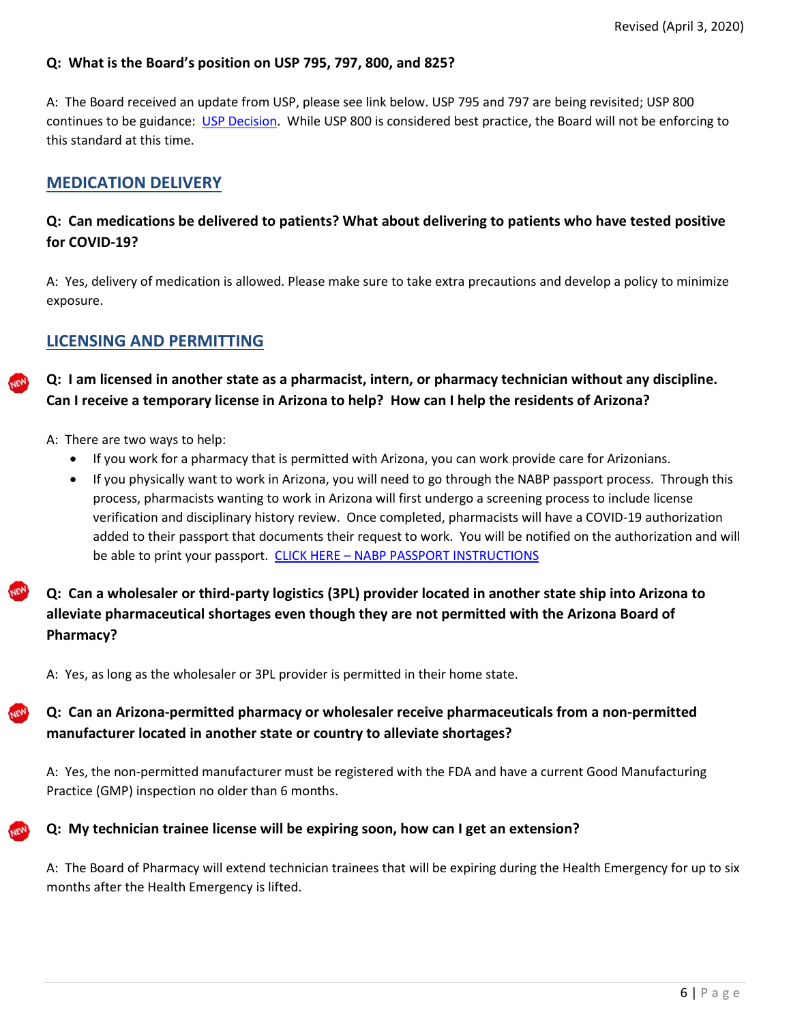### **Q: What is the Board's position on USP 795, 797, 800, and 825?**

A: The Board received an update from USP, please see link below. USP 795 and 797 are being revisited; USP 800 continues to be guidance: [USP Decision.](https://www.usp.org/sites/default/files/usp/document/our-work/compounding/decisions-appeals-fs.pdf) While USP 800 is considered best practice, the Board will not be enforcing to this standard at this time.

## **MEDICATION DELIVERY**

## **Q: Can medications be delivered to patients? What about delivering to patients who have tested positive for COVID-19?**

A: Yes, delivery of medication is allowed. Please make sure to take extra precautions and develop a policy to minimize exposure.

## **LICENSING AND PERMITTING**

- **Q: I am licensed in another state as a pharmacist, intern, or pharmacy technician without any discipline. Can I receive a temporary license in Arizona to help? How can I help the residents of Arizona?**
	- A: There are two ways to help:
		- If you work for a pharmacy that is permitted with Arizona, you can work provide care for Arizonians.
		- If you physically want to work in Arizona, you will need to go through the NABP passport process. Through this process, pharmacists wanting to work in Arizona will first undergo a screening process to include license verification and disciplinary history review. Once completed, pharmacists will have a COVID-19 authorization added to their passport that documents their request to work. You will be notified on the authorization and will be able to print your passport. CLICK HERE – [NABP PASSPORT INSTRUCTIONS](#page-12-0)
- **Q: Can a wholesaler or third-party logistics (3PL) provider located in another state ship into Arizona to alleviate pharmaceutical shortages even though they are not permitted with the Arizona Board of Pharmacy?**

A: Yes, as long as the wholesaler or 3PL provider is permitted in their home state.

# **Q: Can an Arizona-permitted pharmacy or wholesaler receive pharmaceuticals from a non-permitted manufacturer located in another state or country to alleviate shortages?**

A: Yes, the non-permitted manufacturer must be registered with the FDA and have a current Good Manufacturing Practice (GMP) inspection no older than 6 months.

#### **Q: My technician trainee license will be expiring soon, how can I get an extension?**

A: The Board of Pharmacy will extend technician trainees that will be expiring during the Health Emergency for up to six months after the Health Emergency is lifted.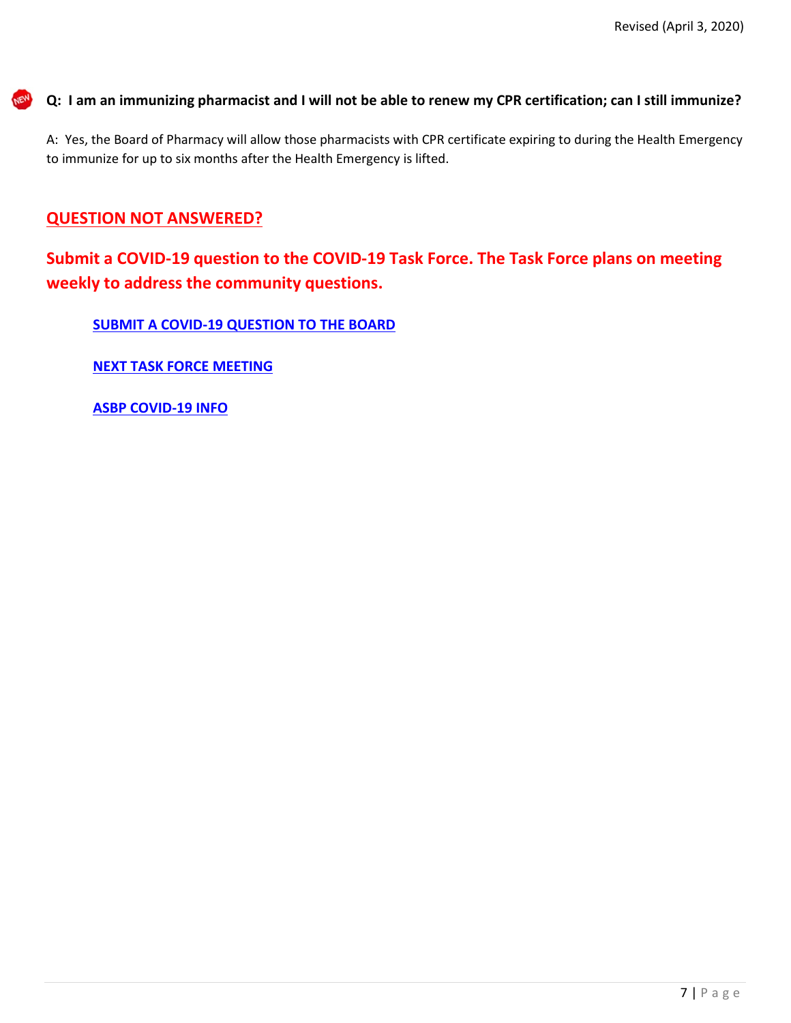**Q: I am an immunizing pharmacist and I will not be able to renew my CPR certification; can I still immunize?**

A: Yes, the Board of Pharmacy will allow those pharmacists with CPR certificate expiring to during the Health Emergency to immunize for up to six months after the Health Emergency is lifted.

# **QUESTION NOT ANSWERED?**

**Submit a COVID-19 question to the COVID-19 Task Force. The Task Force plans on meeting weekly to address the community questions.** 

**[SUBMIT A COVID-19 QUESTION TO THE BOARD](https://pharmacy.az.gov/covid-19-questions)**

**[NEXT TASK FORCE MEETING](https://pharmacy.az.gov/news-events)**

**[ASBP COVID-19 INFO](https://pharmacy.az.gov/)**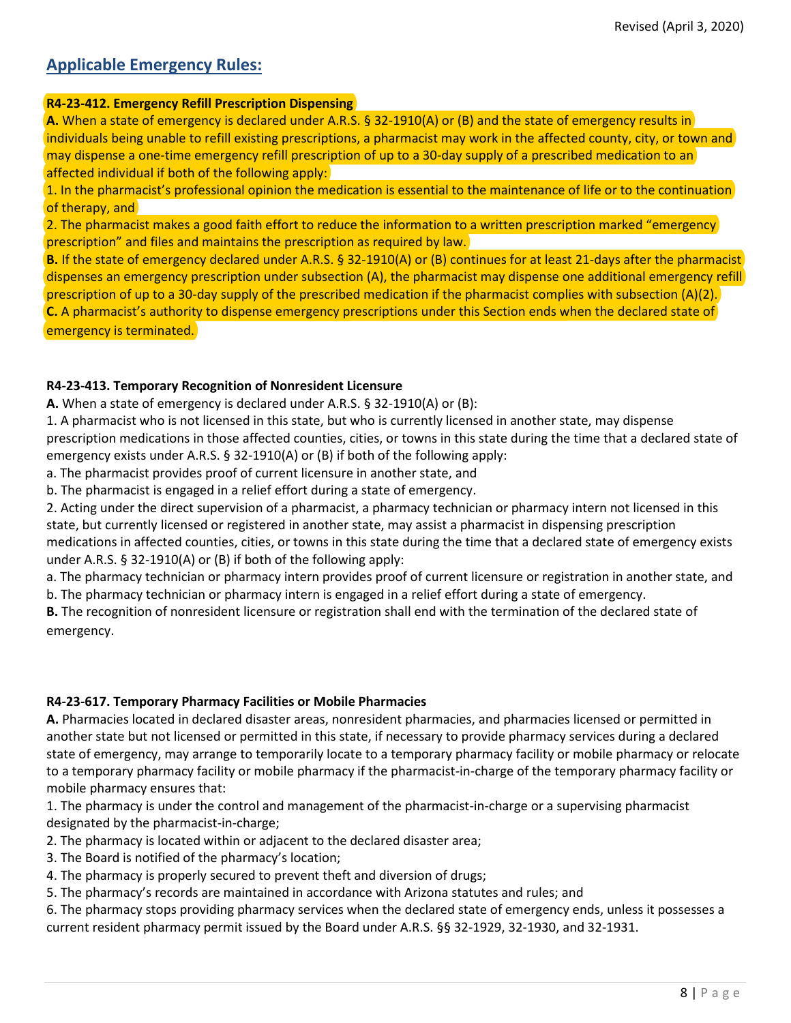# **Applicable Emergency Rules:**

#### **R4-23-412. Emergency Refill Prescription Dispensing**

**A.** When a state of emergency is declared under A.R.S. § 32-1910(A) or (B) and the state of emergency results in individuals being unable to refill existing prescriptions, a pharmacist may work in the affected county, city, or town and may dispense a one-time emergency refill prescription of up to a 30-day supply of a prescribed medication to an affected individual if both of the following apply:

1. In the pharmacist's professional opinion the medication is essential to the maintenance of life or to the continuation of therapy, and

2. The pharmacist makes a good faith effort to reduce the information to a written prescription marked "emergency prescription" and files and maintains the prescription as required by law.

**B.** If the state of emergency declared under A.R.S. § 32-1910(A) or (B) continues for at least 21-days after the pharmacist dispenses an emergency prescription under subsection (A), the pharmacist may dispense one additional emergency refill prescription of up to a 30-day supply of the prescribed medication if the pharmacist complies with subsection (A)(2). **C.** A pharmacist's authority to dispense emergency prescriptions under this Section ends when the declared state of emergency is terminated.

#### **R4-23-413. Temporary Recognition of Nonresident Licensure**

**A.** When a state of emergency is declared under A.R.S. § 32-1910(A) or (B):

1. A pharmacist who is not licensed in this state, but who is currently licensed in another state, may dispense prescription medications in those affected counties, cities, or towns in this state during the time that a declared state of emergency exists under A.R.S. § 32-1910(A) or (B) if both of the following apply:

a. The pharmacist provides proof of current licensure in another state, and

b. The pharmacist is engaged in a relief effort during a state of emergency.

2. Acting under the direct supervision of a pharmacist, a pharmacy technician or pharmacy intern not licensed in this state, but currently licensed or registered in another state, may assist a pharmacist in dispensing prescription medications in affected counties, cities, or towns in this state during the time that a declared state of emergency exists under A.R.S. § 32-1910(A) or (B) if both of the following apply:

a. The pharmacy technician or pharmacy intern provides proof of current licensure or registration in another state, and

b. The pharmacy technician or pharmacy intern is engaged in a relief effort during a state of emergency.

**B.** The recognition of nonresident licensure or registration shall end with the termination of the declared state of emergency.

#### **R4-23-617. Temporary Pharmacy Facilities or Mobile Pharmacies**

**A.** Pharmacies located in declared disaster areas, nonresident pharmacies, and pharmacies licensed or permitted in another state but not licensed or permitted in this state, if necessary to provide pharmacy services during a declared state of emergency, may arrange to temporarily locate to a temporary pharmacy facility or mobile pharmacy or relocate to a temporary pharmacy facility or mobile pharmacy if the pharmacist-in-charge of the temporary pharmacy facility or mobile pharmacy ensures that:

1. The pharmacy is under the control and management of the pharmacist-in-charge or a supervising pharmacist designated by the pharmacist-in-charge;

- 2. The pharmacy is located within or adjacent to the declared disaster area;
- 3. The Board is notified of the pharmacy's location;
- 4. The pharmacy is properly secured to prevent theft and diversion of drugs;
- 5. The pharmacy's records are maintained in accordance with Arizona statutes and rules; and

6. The pharmacy stops providing pharmacy services when the declared state of emergency ends, unless it possesses a current resident pharmacy permit issued by the Board under A.R.S. §§ 32-1929, 32-1930, and 32-1931.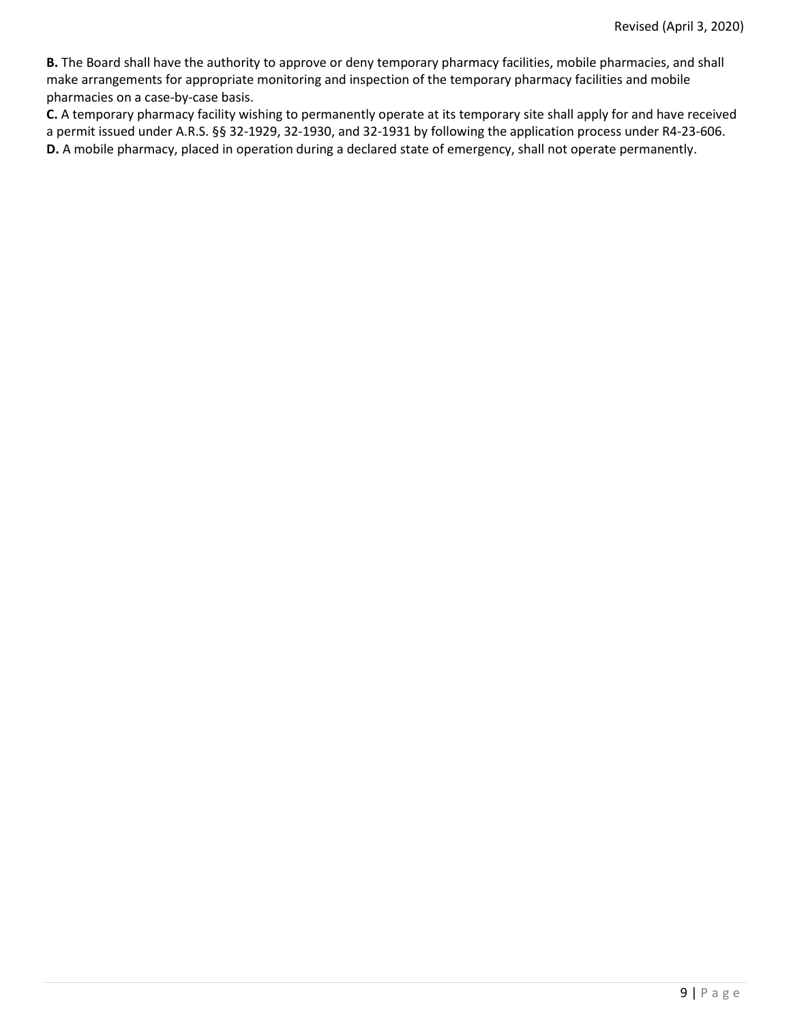**B.** The Board shall have the authority to approve or deny temporary pharmacy facilities, mobile pharmacies, and shall make arrangements for appropriate monitoring and inspection of the temporary pharmacy facilities and mobile pharmacies on a case-by-case basis.

**C.** A temporary pharmacy facility wishing to permanently operate at its temporary site shall apply for and have received a permit issued under A.R.S. §§ 32-1929, 32-1930, and 32-1931 by following the application process under R4-23-606. **D.** A mobile pharmacy, placed in operation during a declared state of emergency, shall not operate permanently.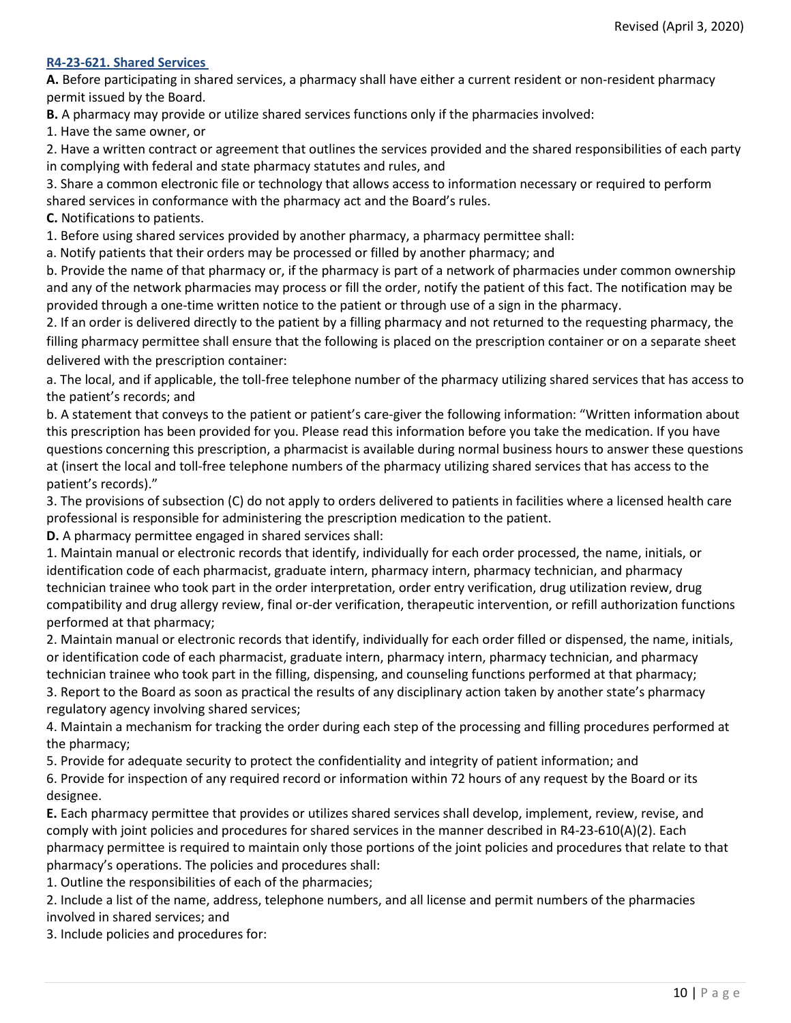#### **R4-23-621. Shared Services**

**A.** Before participating in shared services, a pharmacy shall have either a current resident or non-resident pharmacy permit issued by the Board.

**B.** A pharmacy may provide or utilize shared services functions only if the pharmacies involved:

1. Have the same owner, or

2. Have a written contract or agreement that outlines the services provided and the shared responsibilities of each party in complying with federal and state pharmacy statutes and rules, and

3. Share a common electronic file or technology that allows access to information necessary or required to perform shared services in conformance with the pharmacy act and the Board's rules.

**C.** Notifications to patients.

1. Before using shared services provided by another pharmacy, a pharmacy permittee shall:

a. Notify patients that their orders may be processed or filled by another pharmacy; and

b. Provide the name of that pharmacy or, if the pharmacy is part of a network of pharmacies under common ownership and any of the network pharmacies may process or fill the order, notify the patient of this fact. The notification may be provided through a one-time written notice to the patient or through use of a sign in the pharmacy.

2. If an order is delivered directly to the patient by a filling pharmacy and not returned to the requesting pharmacy, the filling pharmacy permittee shall ensure that the following is placed on the prescription container or on a separate sheet delivered with the prescription container:

a. The local, and if applicable, the toll-free telephone number of the pharmacy utilizing shared services that has access to the patient's records; and

b. A statement that conveys to the patient or patient's care-giver the following information: "Written information about this prescription has been provided for you. Please read this information before you take the medication. If you have questions concerning this prescription, a pharmacist is available during normal business hours to answer these questions at (insert the local and toll-free telephone numbers of the pharmacy utilizing shared services that has access to the patient's records)."

3. The provisions of subsection (C) do not apply to orders delivered to patients in facilities where a licensed health care professional is responsible for administering the prescription medication to the patient.

**D.** A pharmacy permittee engaged in shared services shall:

1. Maintain manual or electronic records that identify, individually for each order processed, the name, initials, or identification code of each pharmacist, graduate intern, pharmacy intern, pharmacy technician, and pharmacy technician trainee who took part in the order interpretation, order entry verification, drug utilization review, drug compatibility and drug allergy review, final or-der verification, therapeutic intervention, or refill authorization functions performed at that pharmacy;

2. Maintain manual or electronic records that identify, individually for each order filled or dispensed, the name, initials, or identification code of each pharmacist, graduate intern, pharmacy intern, pharmacy technician, and pharmacy technician trainee who took part in the filling, dispensing, and counseling functions performed at that pharmacy;

3. Report to the Board as soon as practical the results of any disciplinary action taken by another state's pharmacy regulatory agency involving shared services;

4. Maintain a mechanism for tracking the order during each step of the processing and filling procedures performed at the pharmacy;

5. Provide for adequate security to protect the confidentiality and integrity of patient information; and

6. Provide for inspection of any required record or information within 72 hours of any request by the Board or its designee.

**E.** Each pharmacy permittee that provides or utilizes shared services shall develop, implement, review, revise, and comply with joint policies and procedures for shared services in the manner described in R4-23-610(A)(2). Each pharmacy permittee is required to maintain only those portions of the joint policies and procedures that relate to that pharmacy's operations. The policies and procedures shall:

1. Outline the responsibilities of each of the pharmacies;

2. Include a list of the name, address, telephone numbers, and all license and permit numbers of the pharmacies involved in shared services; and

3. Include policies and procedures for: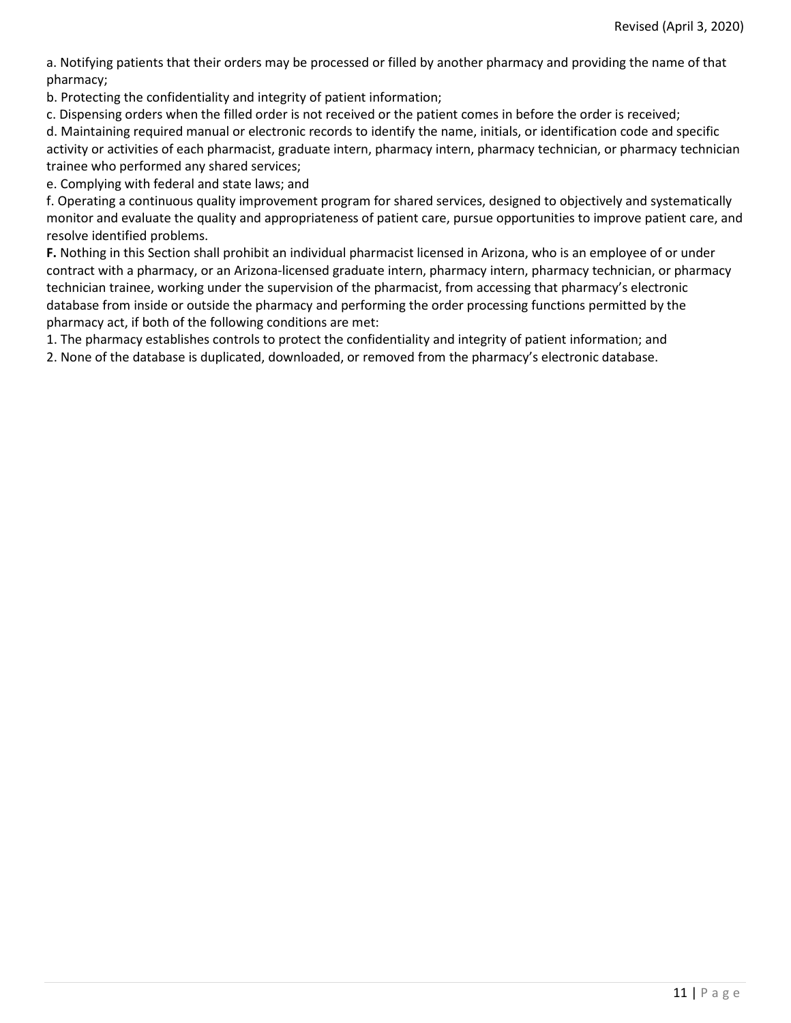a. Notifying patients that their orders may be processed or filled by another pharmacy and providing the name of that pharmacy;

b. Protecting the confidentiality and integrity of patient information;

c. Dispensing orders when the filled order is not received or the patient comes in before the order is received;

d. Maintaining required manual or electronic records to identify the name, initials, or identification code and specific activity or activities of each pharmacist, graduate intern, pharmacy intern, pharmacy technician, or pharmacy technician trainee who performed any shared services;

e. Complying with federal and state laws; and

f. Operating a continuous quality improvement program for shared services, designed to objectively and systematically monitor and evaluate the quality and appropriateness of patient care, pursue opportunities to improve patient care, and resolve identified problems.

**F.** Nothing in this Section shall prohibit an individual pharmacist licensed in Arizona, who is an employee of or under contract with a pharmacy, or an Arizona-licensed graduate intern, pharmacy intern, pharmacy technician, or pharmacy technician trainee, working under the supervision of the pharmacist, from accessing that pharmacy's electronic database from inside or outside the pharmacy and performing the order processing functions permitted by the pharmacy act, if both of the following conditions are met:

1. The pharmacy establishes controls to protect the confidentiality and integrity of patient information; and

2. None of the database is duplicated, downloaded, or removed from the pharmacy's electronic database.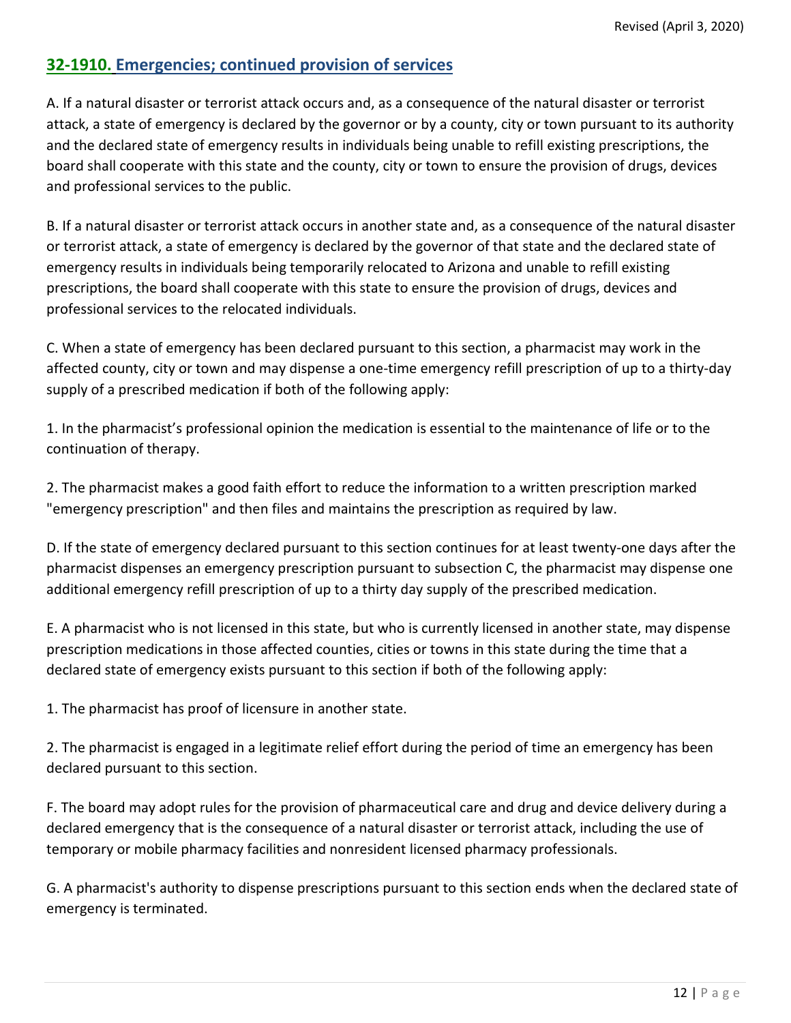# **32-1910. Emergencies; continued provision of services**

A. If a natural disaster or terrorist attack occurs and, as a consequence of the natural disaster or terrorist attack, a state of emergency is declared by the governor or by a county, city or town pursuant to its authority and the declared state of emergency results in individuals being unable to refill existing prescriptions, the board shall cooperate with this state and the county, city or town to ensure the provision of drugs, devices and professional services to the public.

B. If a natural disaster or terrorist attack occurs in another state and, as a consequence of the natural disaster or terrorist attack, a state of emergency is declared by the governor of that state and the declared state of emergency results in individuals being temporarily relocated to Arizona and unable to refill existing prescriptions, the board shall cooperate with this state to ensure the provision of drugs, devices and professional services to the relocated individuals.

C. When a state of emergency has been declared pursuant to this section, a pharmacist may work in the affected county, city or town and may dispense a one-time emergency refill prescription of up to a thirty-day supply of a prescribed medication if both of the following apply:

1. In the pharmacist's professional opinion the medication is essential to the maintenance of life or to the continuation of therapy.

2. The pharmacist makes a good faith effort to reduce the information to a written prescription marked "emergency prescription" and then files and maintains the prescription as required by law.

D. If the state of emergency declared pursuant to this section continues for at least twenty-one days after the pharmacist dispenses an emergency prescription pursuant to subsection C, the pharmacist may dispense one additional emergency refill prescription of up to a thirty day supply of the prescribed medication.

E. A pharmacist who is not licensed in this state, but who is currently licensed in another state, may dispense prescription medications in those affected counties, cities or towns in this state during the time that a declared state of emergency exists pursuant to this section if both of the following apply:

1. The pharmacist has proof of licensure in another state.

2. The pharmacist is engaged in a legitimate relief effort during the period of time an emergency has been declared pursuant to this section.

F. The board may adopt rules for the provision of pharmaceutical care and drug and device delivery during a declared emergency that is the consequence of a natural disaster or terrorist attack, including the use of temporary or mobile pharmacy facilities and nonresident licensed pharmacy professionals.

G. A pharmacist's authority to dispense prescriptions pursuant to this section ends when the declared state of emergency is terminated.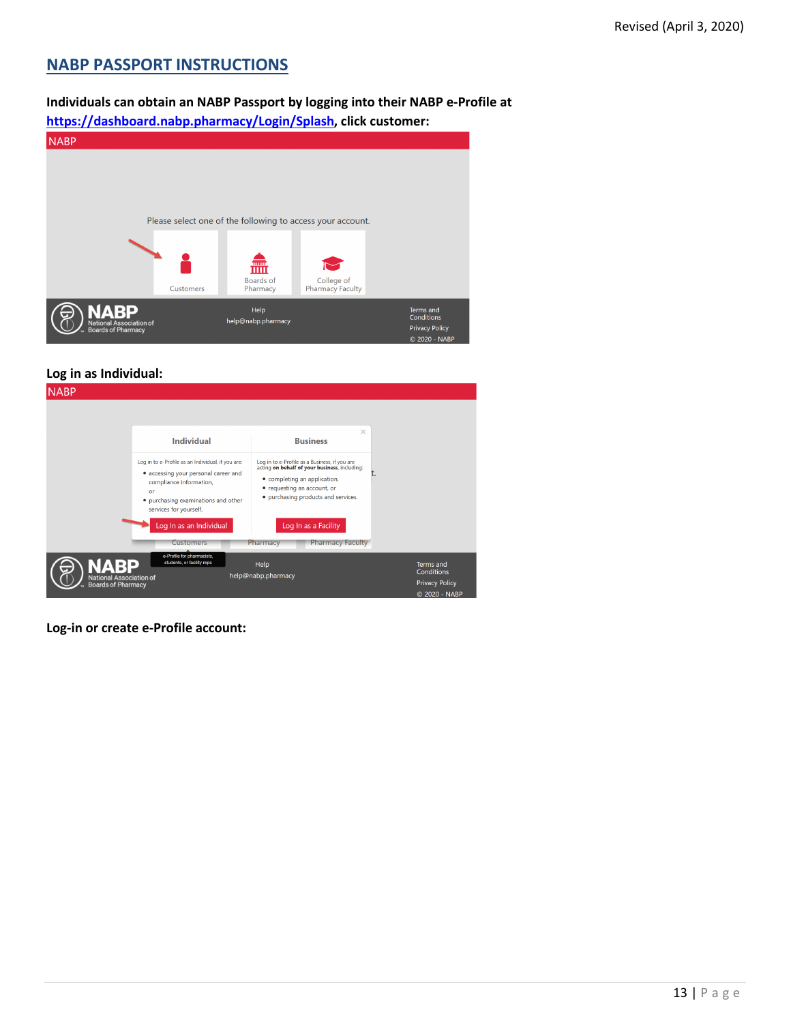# <span id="page-12-0"></span>**NABP PASSPORT INSTRUCTIONS**

# **Individuals can obtain an NABP Passport by logging into their NABP e-Profile at**

**[https://dashboard.nabp.pharmacy/Login/Splash,](https://dashboard.nabp.pharmacy/Login/Splash) click customer:**

| <b>NABP</b>                                                  |           |                            |                                                            |                                                                   |
|--------------------------------------------------------------|-----------|----------------------------|------------------------------------------------------------|-------------------------------------------------------------------|
|                                                              |           |                            | Please select one of the following to access your account. |                                                                   |
|                                                              | Customers | 霝<br>Boards of<br>Pharmacy | College of<br>Pharmacy Faculty                             |                                                                   |
| <b>NABP</b><br>National Association of<br>Boards of Pharmacy |           | Help<br>help@nabp.pharmacy |                                                            | Terms and<br>Conditions<br><b>Privacy Policy</b><br>© 2020 - NABP |

#### **Log in as Individual:**

| <b>NABP</b>                                          |                                                                                                                                                                                             |                                                                                                                                                                                                      |                                        |
|------------------------------------------------------|---------------------------------------------------------------------------------------------------------------------------------------------------------------------------------------------|------------------------------------------------------------------------------------------------------------------------------------------------------------------------------------------------------|----------------------------------------|
|                                                      | <b>Individual</b>                                                                                                                                                                           | $\times$<br><b>Business</b>                                                                                                                                                                          |                                        |
|                                                      | Log in to e-Profile as an Individual, if you are:<br>• accessing your personal career and<br>compliance information,<br>or<br>· purchasing examinations and other<br>services for yourself. | Log in to e-Profile as a Business, if you are<br>acting on behalf of your business, including:<br>• completing an application,<br>• requesting an account, or<br>• purchasing products and services. | τ.                                     |
|                                                      | Log In as an Individual<br><b>Customers</b>                                                                                                                                                 | Log In as a Facility<br><b>Pharmacy Faculty</b><br>Pharmacy                                                                                                                                          |                                        |
|                                                      | e-Profile for pharmacists,<br>students, or facility reps                                                                                                                                    | Help<br>help@nabp.pharmacy                                                                                                                                                                           | <b>Terms and</b><br>Conditions         |
| National Association of<br><b>Boards of Pharmacy</b> |                                                                                                                                                                                             |                                                                                                                                                                                                      | <b>Privacy Policy</b><br>© 2020 - NABP |

**Log-in or create e-Profile account:**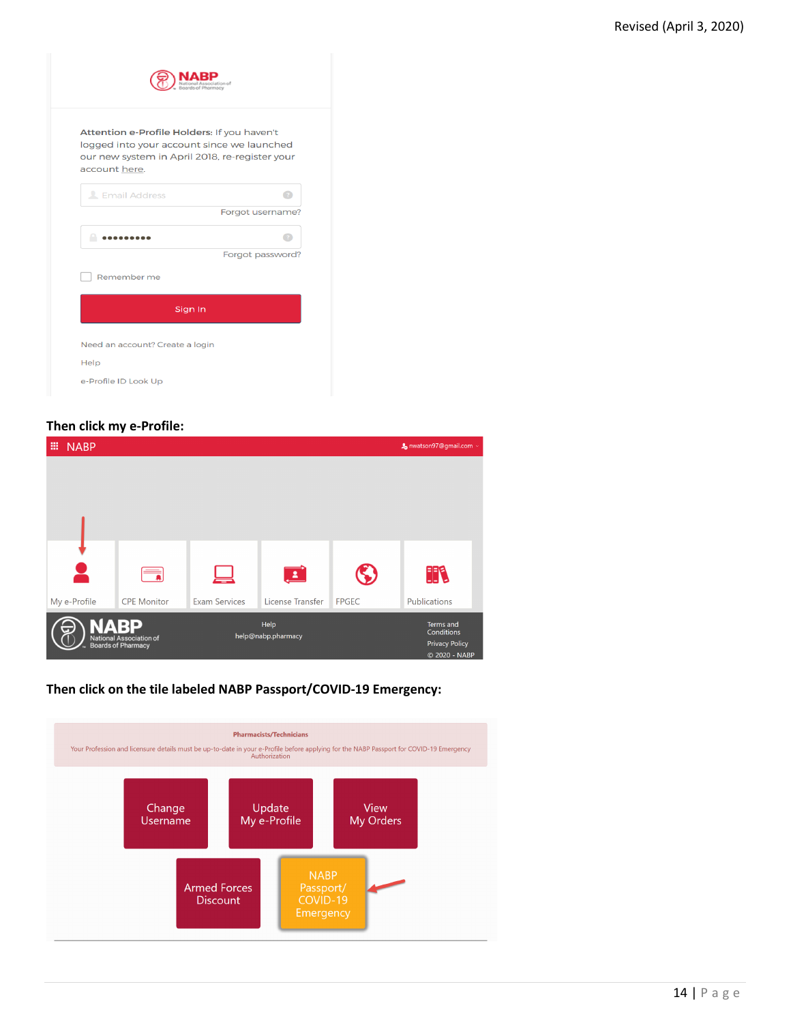| Attention e-Profile Holders: If you haven't<br>logged into your account since we launched<br>our new system in April 2018, re-register your |                  |
|---------------------------------------------------------------------------------------------------------------------------------------------|------------------|
| account here.                                                                                                                               |                  |
| <b>L</b> Email Address                                                                                                                      |                  |
|                                                                                                                                             | Forgot username? |
|                                                                                                                                             |                  |
|                                                                                                                                             | Forgot password? |
| Remember me                                                                                                                                 |                  |
| Sign In                                                                                                                                     |                  |
| Need an account? Create a login                                                                                                             |                  |
|                                                                                                                                             |                  |

#### **Then click my e-Profile:**

| 冊<br><b>NABP</b> |                                               |                      |                    |              | & nwatson97@gmail.com >                |  |
|------------------|-----------------------------------------------|----------------------|--------------------|--------------|----------------------------------------|--|
|                  |                                               |                      |                    |              |                                        |  |
|                  |                                               |                      |                    |              |                                        |  |
|                  |                                               |                      |                    |              |                                        |  |
|                  |                                               |                      |                    |              |                                        |  |
|                  |                                               |                      |                    |              |                                        |  |
|                  |                                               |                      | $\mathbf{L}$       |              | HR                                     |  |
| My e-Profile     | <b>CPE Monitor</b>                            | <b>Exam Services</b> | License Transfer   | <b>FPGEC</b> | Publications                           |  |
|                  | <b>ABP</b>                                    |                      | Help               |              | Terms and<br>Conditions                |  |
|                  | National Association of<br>Boards of Pharmacy |                      | help@nabp.pharmacy |              | <b>Privacy Policy</b><br>© 2020 - NABP |  |

### **Then click on the tile labeled NABP Passport/COVID-19 Emergency:**